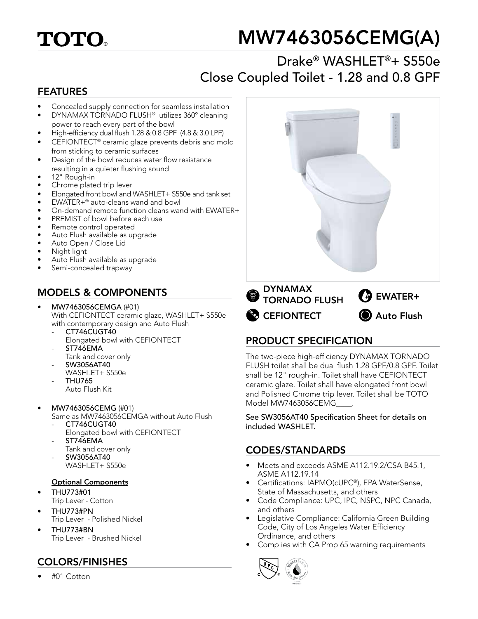

# MW7463056CEMG(A)

## Drake® WASHLET®+ S550e Close Coupled Toilet - 1.28 and 0.8 GPF

#### FEATURES

- Concealed supply connection for seamless installation
- DYNAMAX TORNADO FLUSH® utilizes 360º cleaning power to reach every part of the bowl
- High-efficiency dual flush 1.28 & 0.8 GPF (4.8 & 3.0 LPF)
- CEFIONTECT<sup>®</sup> ceramic glaze prevents debris and mold from sticking to ceramic surfaces
- Design of the bowl reduces water flow resistance resulting in a quieter flushing sound
- 12" Rough-in
- Chrome plated trip lever
- Elongated front bowl and WASHLET+ S550e and tank set
- EWATER+<sup>®</sup> auto-cleans wand and bowl
- On-demand remote function cleans wand with EWATER+
- PREMIST of bowl before each use
- Remote control operated
- Auto Flush available as upgrade
- Auto Open / Close Lid
- Night light
- Auto Flush available as upgrade
- Semi-concealed trapway

### MODELS & COMPONENTS

- MW7463056CEMGA (#01) With CEFIONTECT ceramic glaze, WASHLET+ S550e with contemporary design and Auto Flush
	- CT746CUGT40 Elongated bowl with CEFIONTECT
	- ST746EMA Tank and cover only
	- SW3056AT40
	- WASHLET+ S550e
	- THU765 Auto Flush Kit
- MW7463056CEMG (#01) Same as MW7463056CEMGA without Auto Flush
	- CT746CUGT40 Elongated bowl with CEFIONTECT
	- ST746EMA Tank and cover only
	- SW3056AT40
	- WASHLET+ S550e

#### Optional Components

- THU773#01 Trip Lever - Cotton
- THU773#PN Trip Lever - Polished Nickel
- THU773#BN Trip Lever - Brushed Nickel

### COLORS/FINISHES

• #01 Cotton



#### PRODUCT SPECIFICATION

The two-piece high-efficiency DYNAMAX TORNADO FLUSH toilet shall be dual flush 1.28 GPF/0.8 GPF. Toilet shall be 12" rough-in. Toilet shall have CEFIONTECT ceramic glaze. Toilet shall have elongated front bowl and Polished Chrome trip lever. Toilet shall be TOTO Model MW7463056CEMG\_\_\_\_.

See SW3056AT40 Specification Sheet for details on included WASHLET.

#### CODES/STANDARDS

- Meets and exceeds ASME A112.19.2/CSA B45.1, ASME A112.19.14
- Certifications: IAPMO(cUPC®), EPA WaterSense, State of Massachusetts, and others
- Code Compliance: UPC, IPC, NSPC, NPC Canada, and others
- Legislative Compliance: California Green Building Code, City of Los Angeles Water Efficiency Ordinance, and others
- Complies with CA Prop 65 warning requirements